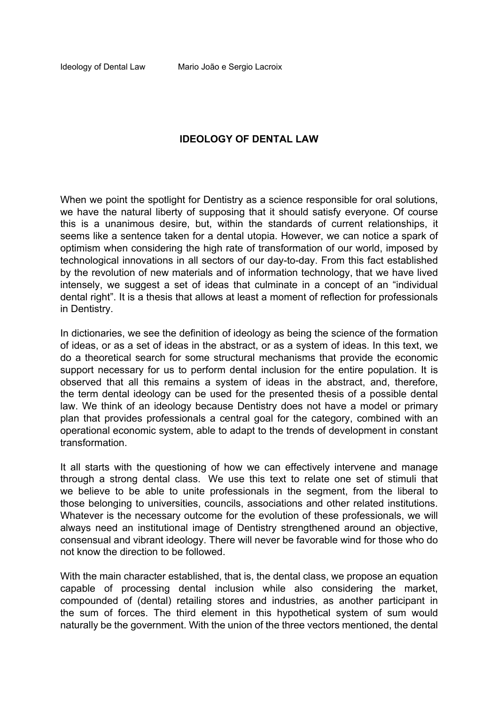#### **IDEOLOGY OF DENTAL LAW**

When we point the spotlight for Dentistry as a science responsible for oral solutions, we have the natural liberty of supposing that it should satisfy everyone. Of course this is a unanimous desire, but, within the standards of current relationships, it seems like a sentence taken for a dental utopia. However, we can notice a spark of optimism when considering the high rate of transformation of our world, imposed by technological innovations in all sectors of our day-to-day. From this fact established by the revolution of new materials and of information technology, that we have lived intensely, we suggest a set of ideas that culminate in a concept of an "individual dental right". It is a thesis that allows at least a moment of reflection for professionals in Dentistry.

In dictionaries, we see the definition of ideology as being the science of the formation of ideas, or as a set of ideas in the abstract, or as a system of ideas. In this text, we do a theoretical search for some structural mechanisms that provide the economic support necessary for us to perform dental inclusion for the entire population. It is observed that all this remains a system of ideas in the abstract, and, therefore, the term dental ideology can be used for the presented thesis of a possible dental law. We think of an ideology because Dentistry does not have a model or primary plan that provides professionals a central goal for the category, combined with an operational economic system, able to adapt to the trends of development in constant transformation.

It all starts with the questioning of how we can effectively intervene and manage through a strong dental class. We use this text to relate one set of stimuli that we believe to be able to unite professionals in the segment, from the liberal to those belonging to universities, councils, associations and other related institutions. Whatever is the necessary outcome for the evolution of these professionals, we will always need an institutional image of Dentistry strengthened around an objective, consensual and vibrant ideology. There will never be favorable wind for those who do not know the direction to be followed.

With the main character established, that is, the dental class, we propose an equation capable of processing dental inclusion while also considering the market, compounded of (dental) retailing stores and industries, as another participant in the sum of forces. The third element in this hypothetical system of sum would naturally be the government. With the union of the three vectors mentioned, the dental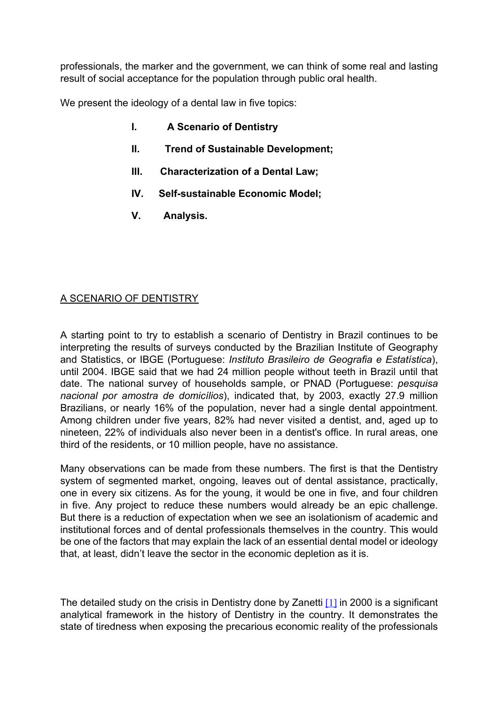professionals, the marker and the government, we can think of some real and lasting result of social acceptance for the population through public oral health.

We present the ideology of a dental law in five topics:

- **I. A Scenario of Dentistry**
- **II. Trend of Sustainable Development;**
- **III. Characterization of a Dental Law;**
- **IV. Self-sustainable Economic Model;**
- **V. Analysis.**

# A SCENARIO OF DENTISTRY

A starting point to try to establish a scenario of Dentistry in Brazil continues to be interpreting the results of surveys conducted by the Brazilian Institute of Geography and Statistics, or IBGE (Portuguese: *Instituto Brasileiro de Geografia e Estatística*), until 2004. IBGE said that we had 24 million people without teeth in Brazil until that date. The national survey of households sample, or PNAD (Portuguese: *pesquisa nacional por amostra de domicílios*), indicated that, by 2003, exactly 27.9 million Brazilians, or nearly 16% of the population, never had a single dental appointment. Among children under five years, 82% had never visited a dentist, and, aged up to nineteen, 22% of individuals also never been in a dentist's office. In rural areas, one third of the residents, or 10 million people, have no assistance.

Many observations can be made from these numbers. The first is that the Dentistry system of segmented market, ongoing, leaves out of dental assistance, practically, one in every six citizens. As for the young, it would be one in five, and four children in five. Any project to reduce these numbers would already be an epic challenge. But there is a reduction of expectation when we see an isolationism of academic and institutional forces and of dental professionals themselves in the country. This would be one of the factors that may explain the lack of an essential dental model or ideology that, at least, didn't leave the sector in the economic depletion as it is.

<span id="page-1-0"></span>The detailed study on the crisis in Dentistry done by Zanetti  $[1]$  in 2000 is a significant analytical framework in the history of Dentistry in the country. It demonstrates the state of tiredness when exposing the precarious economic reality of the professionals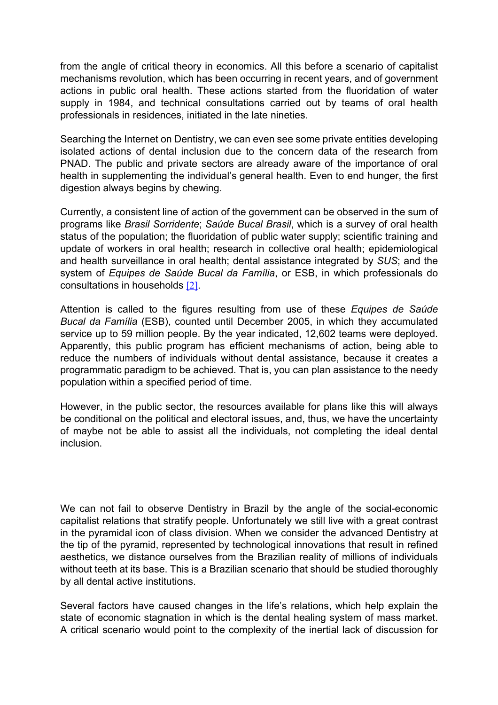from the angle of critical theory in economics. All this before a scenario of capitalist mechanisms revolution, which has been occurring in recent years, and of government actions in public oral health. These actions started from the fluoridation of water supply in 1984, and technical consultations carried out by teams of oral health professionals in residences, initiated in the late nineties.

Searching the Internet on Dentistry, we can even see some private entities developing isolated actions of dental inclusion due to the concern data of the research from PNAD. The public and private sectors are already aware of the importance of oral health in supplementing the individual's general health. Even to end hunger, the first digestion always begins by chewing.

Currently, a consistent line of action of the government can be observed in the sum of programs like *Brasil Sorridente*; *Saúde Bucal Brasil*, which is a survey of oral health status of the population; the fluoridation of public water supply; scientific training and update of workers in oral health; research in collective oral health; epidemiological and health surveillance in oral health; dental assistance integrated by *SUS*; and the system of *Equipes de Saúde Bucal da Família*, or ESB, in which professionals do consultations in households [\[2\]](#page-25-1).

<span id="page-2-0"></span>Attention is called to the figures resulting from use of these *Equipes de Saúde Bucal da Família* (ESB), counted until December 2005, in which they accumulated service up to 59 million people. By the year indicated, 12,602 teams were deployed. Apparently, this public program has efficient mechanisms of action, being able to reduce the numbers of individuals without dental assistance, because it creates a programmatic paradigm to be achieved. That is, you can plan assistance to the needy population within a specified period of time.

However, in the public sector, the resources available for plans like this will always be conditional on the political and electoral issues, and, thus, we have the uncertainty of maybe not be able to assist all the individuals, not completing the ideal dental inclusion.

We can not fail to observe Dentistry in Brazil by the angle of the social-economic capitalist relations that stratify people. Unfortunately we still live with a great contrast in the pyramidal icon of class division. When we consider the advanced Dentistry at the tip of the pyramid, represented by technological innovations that result in refined aesthetics, we distance ourselves from the Brazilian reality of millions of individuals without teeth at its base. This is a Brazilian scenario that should be studied thoroughly by all dental active institutions.

Several factors have caused changes in the life's relations, which help explain the state of economic stagnation in which is the dental healing system of mass market. A critical scenario would point to the complexity of the inertial lack of discussion for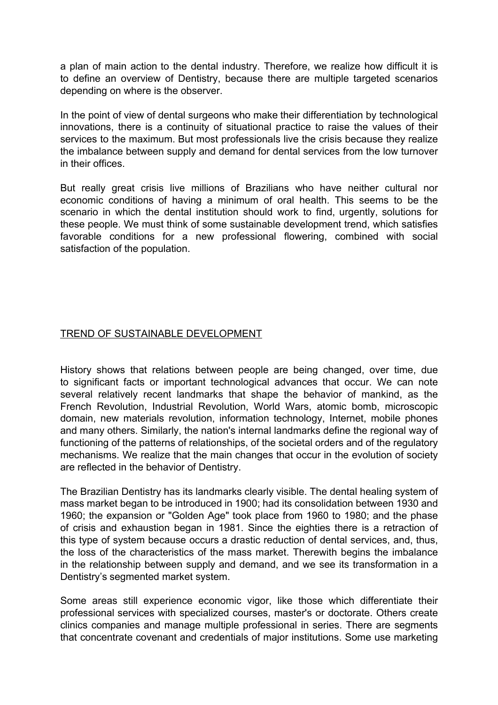a plan of main action to the dental industry. Therefore, we realize how difficult it is to define an overview of Dentistry, because there are multiple targeted scenarios depending on where is the observer.

In the point of view of dental surgeons who make their differentiation by technological innovations, there is a continuity of situational practice to raise the values of their services to the maximum. But most professionals live the crisis because they realize the imbalance between supply and demand for dental services from the low turnover in their offices.

But really great crisis live millions of Brazilians who have neither cultural nor economic conditions of having a minimum of oral health. This seems to be the scenario in which the dental institution should work to find, urgently, solutions for these people. We must think of some sustainable development trend, which satisfies favorable conditions for a new professional flowering, combined with social satisfaction of the population.

### TREND OF SUSTAINABLE DEVELOPMENT

History shows that relations between people are being changed, over time, due to significant facts or important technological advances that occur. We can note several relatively recent landmarks that shape the behavior of mankind, as the French Revolution, Industrial Revolution, World Wars, atomic bomb, microscopic domain, new materials revolution, information technology, Internet, mobile phones and many others. Similarly, the nation's internal landmarks define the regional way of functioning of the patterns of relationships, of the societal orders and of the regulatory mechanisms. We realize that the main changes that occur in the evolution of society are reflected in the behavior of Dentistry.

The Brazilian Dentistry has its landmarks clearly visible. The dental healing system of mass market began to be introduced in 1900; had its consolidation between 1930 and 1960; the expansion or "Golden Age" took place from 1960 to 1980; and the phase of crisis and exhaustion began in 1981. Since the eighties there is a retraction of this type of system because occurs a drastic reduction of dental services, and, thus, the loss of the characteristics of the mass market. Therewith begins the imbalance in the relationship between supply and demand, and we see its transformation in a Dentistry's segmented market system.

Some areas still experience economic vigor, like those which differentiate their professional services with specialized courses, master's or doctorate. Others create clinics companies and manage multiple professional in series. There are segments that concentrate covenant and credentials of major institutions. Some use marketing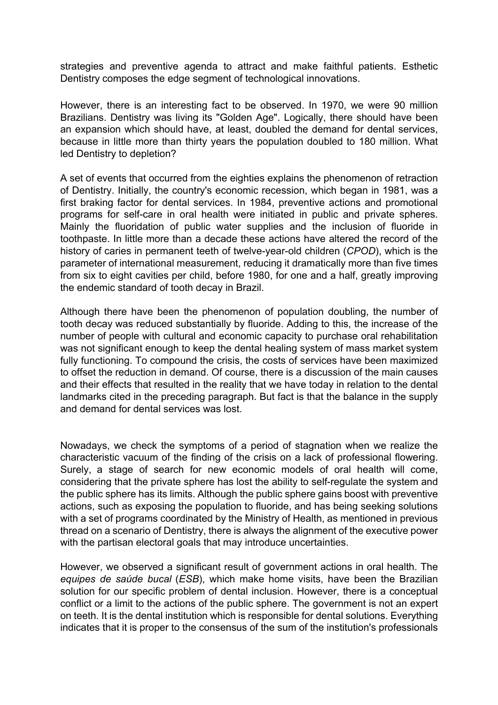strategies and preventive agenda to attract and make faithful patients. Esthetic Dentistry composes the edge segment of technological innovations.

However, there is an interesting fact to be observed. In 1970, we were 90 million Brazilians. Dentistry was living its "Golden Age". Logically, there should have been an expansion which should have, at least, doubled the demand for dental services, because in little more than thirty years the population doubled to 180 million. What led Dentistry to depletion?

A set of events that occurred from the eighties explains the phenomenon of retraction of Dentistry. Initially, the country's economic recession, which began in 1981, was a first braking factor for dental services. In 1984, preventive actions and promotional programs for self-care in oral health were initiated in public and private spheres. Mainly the fluoridation of public water supplies and the inclusion of fluoride in toothpaste. In little more than a decade these actions have altered the record of the history of caries in permanent teeth of twelve-year-old children (*CPOD*), which is the parameter of international measurement, reducing it dramatically more than five times from six to eight cavities per child, before 1980, for one and a half, greatly improving the endemic standard of tooth decay in Brazil.

Although there have been the phenomenon of population doubling, the number of tooth decay was reduced substantially by fluoride. Adding to this, the increase of the number of people with cultural and economic capacity to purchase oral rehabilitation was not significant enough to keep the dental healing system of mass market system fully functioning. To compound the crisis, the costs of services have been maximized to offset the reduction in demand. Of course, there is a discussion of the main causes and their effects that resulted in the reality that we have today in relation to the dental landmarks cited in the preceding paragraph. But fact is that the balance in the supply and demand for dental services was lost.

Nowadays, we check the symptoms of a period of stagnation when we realize the characteristic vacuum of the finding of the crisis on a lack of professional flowering. Surely, a stage of search for new economic models of oral health will come, considering that the private sphere has lost the ability to self-regulate the system and the public sphere has its limits. Although the public sphere gains boost with preventive actions, such as exposing the population to fluoride, and has being seeking solutions with a set of programs coordinated by the Ministry of Health, as mentioned in previous thread on a scenario of Dentistry, there is always the alignment of the executive power with the partisan electoral goals that may introduce uncertainties.

However, we observed a significant result of government actions in oral health. The *equipes de saúde bucal* (*ESB*), which make home visits, have been the Brazilian solution for our specific problem of dental inclusion. However, there is a conceptual conflict or a limit to the actions of the public sphere. The government is not an expert on teeth. It is the dental institution which is responsible for dental solutions. Everything indicates that it is proper to the consensus of the sum of the institution's professionals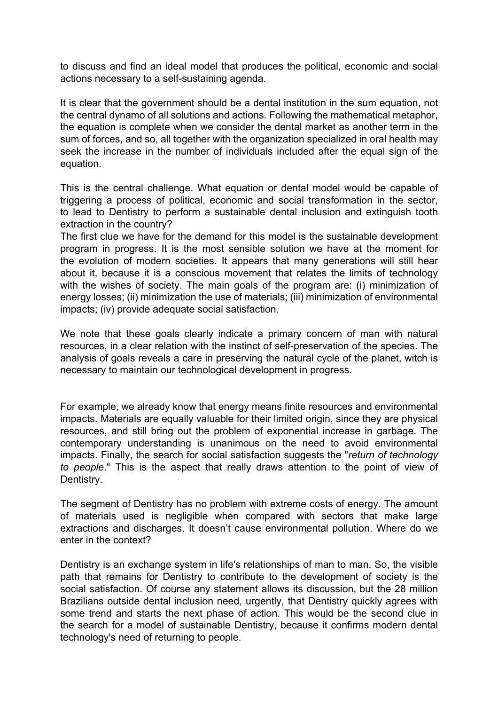to discuss and find an ideal model that produces the political, economic and social actions necessary to a self-sustaining agenda.

It is clear that the government should be a dental institution in the sum equation, not the central dynamo of all solutions and actions. Following the mathematical metaphor, the equation is complete when we consider the dental market as another term in the sum of forces, and so, all together with the organization specialized in oral health may seek the increase in the number of individuals included after the equal sign of the equation.

This is the central challenge. What equation or dental model would be capable of triggering a process of political, economic and social transformation in the sector, to lead to Dentistry to perform a sustainable dental inclusion and extinguish tooth extraction in the country?

The first clue we have for the demand for this model is the sustainable development program in progress. It is the most sensible solution we have at the moment for the evolution of modern societies. It appears that many generations will still hear about it, because it is a conscious movement that relates the limits of technology with the wishes of society. The main goals of the program are: (i) minimization of energy losses; (ii) minimization the use of materials; (iii) minimization of environmental impacts; (iv) provide adequate social satisfaction.

We note that these goals clearly indicate a primary concern of man with natural resources, in a clear relation with the instinct of self-preservation of the species. The analysis of goals reveals a care in preserving the natural cycle of the planet, witch is necessary to maintain our technological development in progress.

For example, we already know that energy means finite resources and environmental impacts. Materials are equally valuable for their limited origin, since they are physical resources, and still bring out the problem of exponential increase in garbage. The contemporary understanding is unanimous on the need to avoid environmental impacts. Finally, the search for social satisfaction suggests the "*return of technology to people*." This is the aspect that really draws attention to the point of view of Dentistry.

The segment of Dentistry has no problem with extreme costs of energy. The amount of materials used is negligible when compared with sectors that make large extractions and discharges. It doesn't cause environmental pollution. Where do we enter in the context?

Dentistry is an exchange system in life's relationships of man to man. So, the visible path that remains for Dentistry to contribute to the development of society is the social satisfaction. Of course any statement allows its discussion, but the 28 million Brazilians outside dental inclusion need, urgently, that Dentistry quickly agrees with some trend and starts the next phase of action. This would be the second clue in the search for a model of sustainable Dentistry, because it confirms modern dental technology's need of returning to people.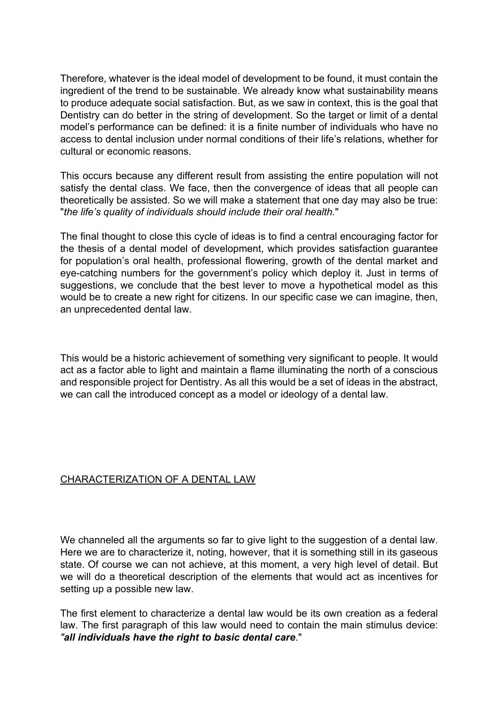Therefore, whatever is the ideal model of development to be found, it must contain the ingredient of the trend to be sustainable. We already know what sustainability means to produce adequate social satisfaction. But, as we saw in context, this is the goal that Dentistry can do better in the string of development. So the target or limit of a dental model's performance can be defined: it is a finite number of individuals who have no access to dental inclusion under normal conditions of their life's relations, whether for cultural or economic reasons.

This occurs because any different result from assisting the entire population will not satisfy the dental class. We face, then the convergence of ideas that all people can theoretically be assisted. So we will make a statement that one day may also be true: "*the life's quality of individuals should include their oral health.*"

The final thought to close this cycle of ideas is to find a central encouraging factor for the thesis of a dental model of development, which provides satisfaction guarantee for population's oral health, professional flowering, growth of the dental market and eye-catching numbers for the government's policy which deploy it. Just in terms of suggestions, we conclude that the best lever to move a hypothetical model as this would be to create a new right for citizens. In our specific case we can imagine, then, an unprecedented dental law.

This would be a historic achievement of something very significant to people. It would act as a factor able to light and maintain a flame illuminating the north of a conscious and responsible project for Dentistry. As all this would be a set of ideas in the abstract, we can call the introduced concept as a model or ideology of a dental law.

## CHARACTERIZATION OF A DENTAL LAW

We channeled all the arguments so far to give light to the suggestion of a dental law. Here we are to characterize it, noting, however, that it is something still in its gaseous state. Of course we can not achieve, at this moment, a very high level of detail. But we will do a theoretical description of the elements that would act as incentives for setting up a possible new law.

The first element to characterize a dental law would be its own creation as a federal law. The first paragraph of this law would need to contain the main stimulus device: *"all individuals have the right to basic dental care*."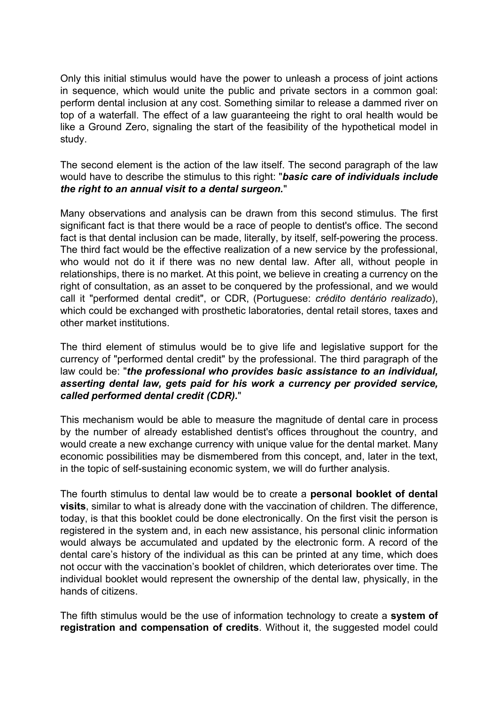Only this initial stimulus would have the power to unleash a process of joint actions in sequence, which would unite the public and private sectors in a common goal: perform dental inclusion at any cost. Something similar to release a dammed river on top of a waterfall. The effect of a law guaranteeing the right to oral health would be like a Ground Zero, signaling the start of the feasibility of the hypothetical model in study.

The second element is the action of the law itself. The second paragraph of the law would have to describe the stimulus to this right: "*basic care of individuals include the right to an annual visit to a dental surgeon.*"

Many observations and analysis can be drawn from this second stimulus. The first significant fact is that there would be a race of people to dentist's office. The second fact is that dental inclusion can be made, literally, by itself, self-powering the process. The third fact would be the effective realization of a new service by the professional, who would not do it if there was no new dental law. After all, without people in relationships, there is no market. At this point, we believe in creating a currency on the right of consultation, as an asset to be conquered by the professional, and we would call it "performed dental credit", or CDR, (Portuguese: *crédito dentário realizado*), which could be exchanged with prosthetic laboratories, dental retail stores, taxes and other market institutions.

The third element of stimulus would be to give life and legislative support for the currency of "performed dental credit" by the professional. The third paragraph of the law could be: "*the professional who provides basic assistance to an individual, asserting dental law, gets paid for his work a currency per provided service, called performed dental credit (CDR).*"

This mechanism would be able to measure the magnitude of dental care in process by the number of already established dentist's offices throughout the country, and would create a new exchange currency with unique value for the dental market. Many economic possibilities may be dismembered from this concept, and, later in the text, in the topic of self-sustaining economic system, we will do further analysis.

The fourth stimulus to dental law would be to create a **personal booklet of dental visits**, similar to what is already done with the vaccination of children. The difference, today, is that this booklet could be done electronically. On the first visit the person is registered in the system and, in each new assistance, his personal clinic information would always be accumulated and updated by the electronic form. A record of the dental care's history of the individual as this can be printed at any time, which does not occur with the vaccination's booklet of children, which deteriorates over time. The individual booklet would represent the ownership of the dental law, physically, in the hands of citizens.

The fifth stimulus would be the use of information technology to create a **system of registration and compensation of credits**. Without it, the suggested model could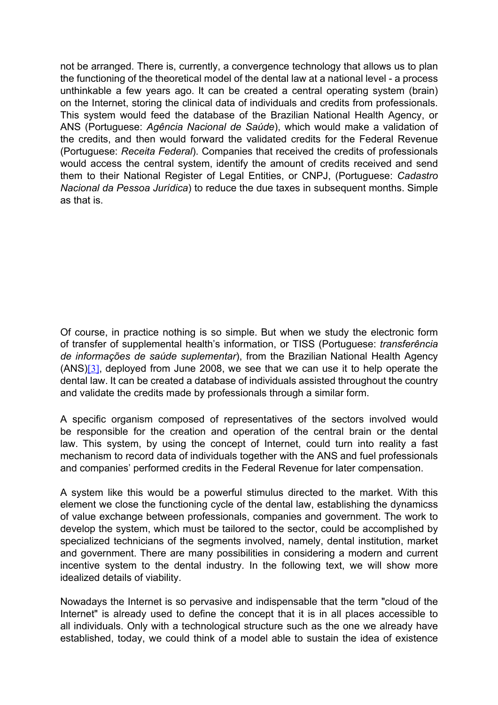not be arranged. There is, currently, a convergence technology that allows us to plan the functioning of the theoretical model of the dental law at a national level - a process unthinkable a few years ago. It can be created a central operating system (brain) on the Internet, storing the clinical data of individuals and credits from professionals. This system would feed the database of the Brazilian National Health Agency, or ANS (Portuguese: *Agência Nacional de Saúde*), which would make a validation of the credits, and then would forward the validated credits for the Federal Revenue (Portuguese: *Receita Federal*). Companies that received the credits of professionals would access the central system, identify the amount of credits received and send them to their National Register of Legal Entities, or CNPJ, (Portuguese: *Cadastro Nacional da Pessoa Jurídica*) to reduce the due taxes in subsequent months. Simple as that is.

<span id="page-8-0"></span>Of course, in practice nothing is so simple. But when we study the electronic form of transfer of supplemental health's information, or TISS (Portuguese: *transferência de informações de saúde suplementar*), from the Brazilian National Health Agency (ANS)[\[3\]](#page-25-2), deployed from June 2008, we see that we can use it to help operate the dental law. It can be created a database of individuals assisted throughout the country and validate the credits made by professionals through a similar form.

A specific organism composed of representatives of the sectors involved would be responsible for the creation and operation of the central brain or the dental law. This system, by using the concept of Internet, could turn into reality a fast mechanism to record data of individuals together with the ANS and fuel professionals and companies' performed credits in the Federal Revenue for later compensation.

A system like this would be a powerful stimulus directed to the market. With this element we close the functioning cycle of the dental law, establishing the dynamicss of value exchange between professionals, companies and government. The work to develop the system, which must be tailored to the sector, could be accomplished by specialized technicians of the segments involved, namely, dental institution, market and government. There are many possibilities in considering a modern and current incentive system to the dental industry. In the following text, we will show more idealized details of viability.

Nowadays the Internet is so pervasive and indispensable that the term "cloud of the Internet" is already used to define the concept that it is in all places accessible to all individuals. Only with a technological structure such as the one we already have established, today, we could think of a model able to sustain the idea of existence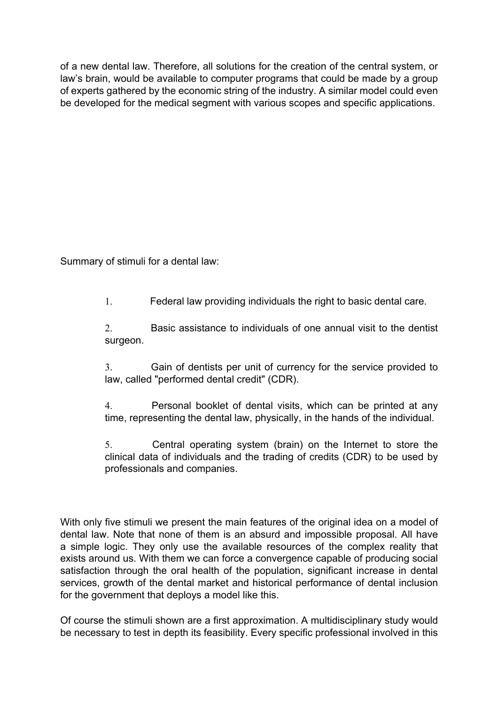of a new dental law. Therefore, all solutions for the creation of the central system, or law's brain, would be available to computer programs that could be made by a group of experts gathered by the economic string of the industry. A similar model could even be developed for the medical segment with various scopes and specific applications.

Summary of stimuli for a dental law:

1. Federal law providing individuals the right to basic dental care.

2. Basic assistance to individuals of one annual visit to the dentist surgeon.

3. Gain of dentists per unit of currency for the service provided to law, called "performed dental credit" (CDR).

4. Personal booklet of dental visits, which can be printed at any time, representing the dental law, physically, in the hands of the individual.

5. Central operating system (brain) on the Internet to store the clinical data of individuals and the trading of credits (CDR) to be used by professionals and companies.

With only five stimuli we present the main features of the original idea on a model of dental law. Note that none of them is an absurd and impossible proposal. All have a simple logic. They only use the available resources of the complex reality that exists around us. With them we can force a convergence capable of producing social satisfaction through the oral health of the population, significant increase in dental services, growth of the dental market and historical performance of dental inclusion for the government that deploys a model like this.

Of course the stimuli shown are a first approximation. A multidisciplinary study would be necessary to test in depth its feasibility. Every specific professional involved in this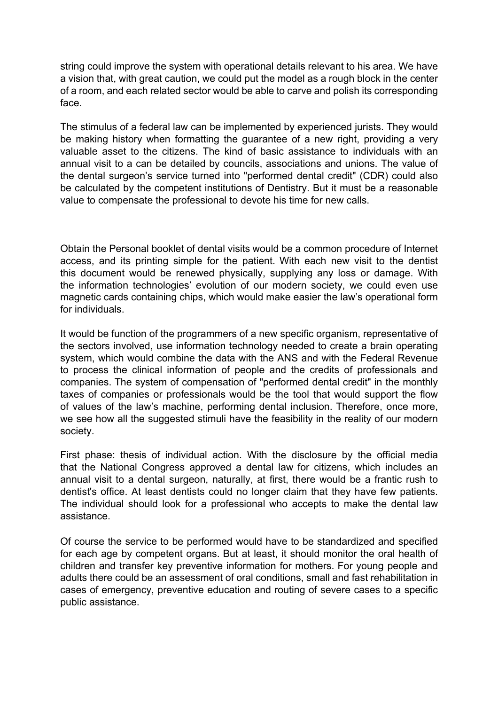string could improve the system with operational details relevant to his area. We have a vision that, with great caution, we could put the model as a rough block in the center of a room, and each related sector would be able to carve and polish its corresponding face.

The stimulus of a federal law can be implemented by experienced jurists. They would be making history when formatting the guarantee of a new right, providing a very valuable asset to the citizens. The kind of basic assistance to individuals with an annual visit to a can be detailed by councils, associations and unions. The value of the dental surgeon's service turned into "performed dental credit" (CDR) could also be calculated by the competent institutions of Dentistry. But it must be a reasonable value to compensate the professional to devote his time for new calls.

Obtain the Personal booklet of dental visits would be a common procedure of Internet access, and its printing simple for the patient. With each new visit to the dentist this document would be renewed physically, supplying any loss or damage. With the information technologies' evolution of our modern society, we could even use magnetic cards containing chips, which would make easier the law's operational form for individuals.

It would be function of the programmers of a new specific organism, representative of the sectors involved, use information technology needed to create a brain operating system, which would combine the data with the ANS and with the Federal Revenue to process the clinical information of people and the credits of professionals and companies. The system of compensation of "performed dental credit" in the monthly taxes of companies or professionals would be the tool that would support the flow of values of the law's machine, performing dental inclusion. Therefore, once more, we see how all the suggested stimuli have the feasibility in the reality of our modern society.

First phase: thesis of individual action. With the disclosure by the official media that the National Congress approved a dental law for citizens, which includes an annual visit to a dental surgeon, naturally, at first, there would be a frantic rush to dentist's office. At least dentists could no longer claim that they have few patients. The individual should look for a professional who accepts to make the dental law assistance.

Of course the service to be performed would have to be standardized and specified for each age by competent organs. But at least, it should monitor the oral health of children and transfer key preventive information for mothers. For young people and adults there could be an assessment of oral conditions, small and fast rehabilitation in cases of emergency, preventive education and routing of severe cases to a specific public assistance.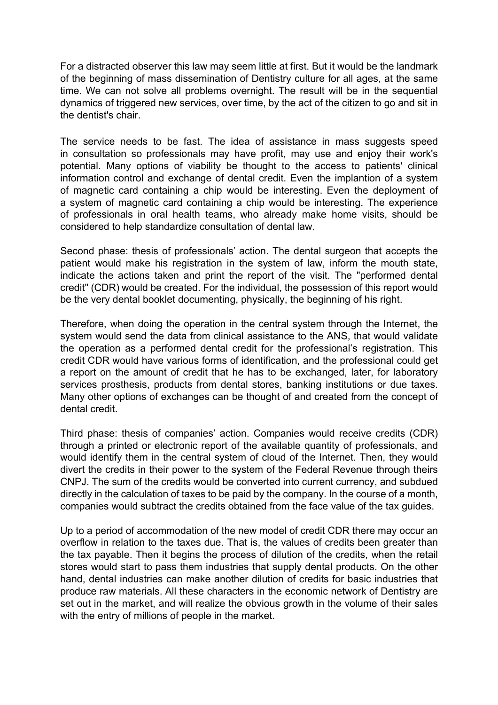For a distracted observer this law may seem little at first. But it would be the landmark of the beginning of mass dissemination of Dentistry culture for all ages, at the same time. We can not solve all problems overnight. The result will be in the sequential dynamics of triggered new services, over time, by the act of the citizen to go and sit in the dentist's chair.

The service needs to be fast. The idea of assistance in mass suggests speed in consultation so professionals may have profit, may use and enjoy their work's potential. Many options of viability be thought to the access to patients' clinical information control and exchange of dental credit. Even the implantion of a system of magnetic card containing a chip would be interesting. Even the deployment of a system of magnetic card containing a chip would be interesting. The experience of professionals in oral health teams, who already make home visits, should be considered to help standardize consultation of dental law.

Second phase: thesis of professionals' action. The dental surgeon that accepts the patient would make his registration in the system of law, inform the mouth state, indicate the actions taken and print the report of the visit. The "performed dental credit" (CDR) would be created. For the individual, the possession of this report would be the very dental booklet documenting, physically, the beginning of his right.

Therefore, when doing the operation in the central system through the Internet, the system would send the data from clinical assistance to the ANS, that would validate the operation as a performed dental credit for the professional's registration. This credit CDR would have various forms of identification, and the professional could get a report on the amount of credit that he has to be exchanged, later, for laboratory services prosthesis, products from dental stores, banking institutions or due taxes. Many other options of exchanges can be thought of and created from the concept of dental credit.

Third phase: thesis of companies' action. Companies would receive credits (CDR) through a printed or electronic report of the available quantity of professionals, and would identify them in the central system of cloud of the Internet. Then, they would divert the credits in their power to the system of the Federal Revenue through theirs CNPJ. The sum of the credits would be converted into current currency, and subdued directly in the calculation of taxes to be paid by the company. In the course of a month, companies would subtract the credits obtained from the face value of the tax guides.

Up to a period of accommodation of the new model of credit CDR there may occur an overflow in relation to the taxes due. That is, the values of credits been greater than the tax payable. Then it begins the process of dilution of the credits, when the retail stores would start to pass them industries that supply dental products. On the other hand, dental industries can make another dilution of credits for basic industries that produce raw materials. All these characters in the economic network of Dentistry are set out in the market, and will realize the obvious growth in the volume of their sales with the entry of millions of people in the market.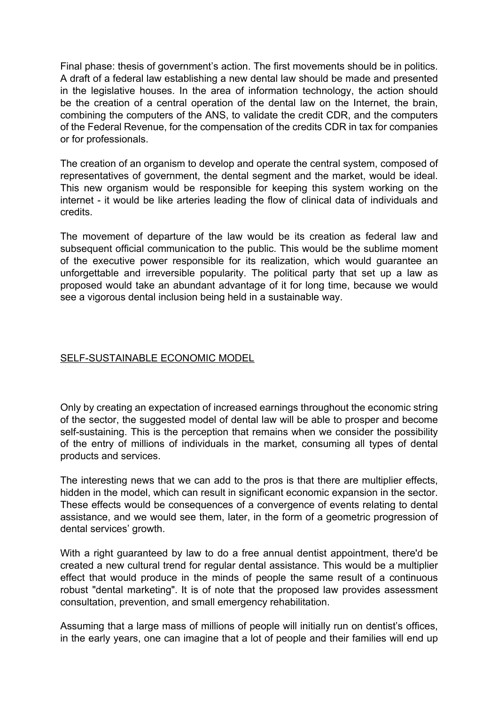Final phase: thesis of government's action. The first movements should be in politics. A draft of a federal law establishing a new dental law should be made and presented in the legislative houses. In the area of information technology, the action should be the creation of a central operation of the dental law on the Internet, the brain, combining the computers of the ANS, to validate the credit CDR, and the computers of the Federal Revenue, for the compensation of the credits CDR in tax for companies or for professionals.

The creation of an organism to develop and operate the central system, composed of representatives of government, the dental segment and the market, would be ideal. This new organism would be responsible for keeping this system working on the internet - it would be like arteries leading the flow of clinical data of individuals and credits.

The movement of departure of the law would be its creation as federal law and subsequent official communication to the public. This would be the sublime moment of the executive power responsible for its realization, which would guarantee an unforgettable and irreversible popularity. The political party that set up a law as proposed would take an abundant advantage of it for long time, because we would see a vigorous dental inclusion being held in a sustainable way.

## SELF-SUSTAINABLE ECONOMIC MODEL

Only by creating an expectation of increased earnings throughout the economic string of the sector, the suggested model of dental law will be able to prosper and become self-sustaining. This is the perception that remains when we consider the possibility of the entry of millions of individuals in the market, consuming all types of dental products and services.

The interesting news that we can add to the pros is that there are multiplier effects, hidden in the model, which can result in significant economic expansion in the sector. These effects would be consequences of a convergence of events relating to dental assistance, and we would see them, later, in the form of a geometric progression of dental services' growth.

With a right guaranteed by law to do a free annual dentist appointment, there'd be created a new cultural trend for regular dental assistance. This would be a multiplier effect that would produce in the minds of people the same result of a continuous robust "dental marketing". It is of note that the proposed law provides assessment consultation, prevention, and small emergency rehabilitation.

Assuming that a large mass of millions of people will initially run on dentist's offices, in the early years, one can imagine that a lot of people and their families will end up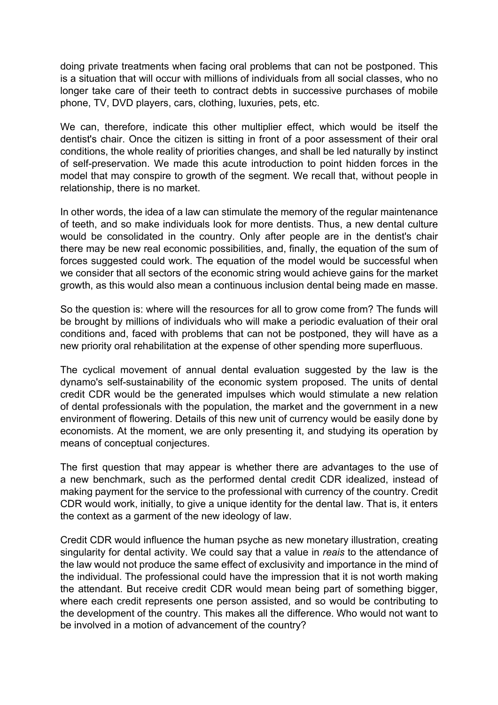doing private treatments when facing oral problems that can not be postponed. This is a situation that will occur with millions of individuals from all social classes, who no longer take care of their teeth to contract debts in successive purchases of mobile phone, TV, DVD players, cars, clothing, luxuries, pets, etc.

We can, therefore, indicate this other multiplier effect, which would be itself the dentist's chair. Once the citizen is sitting in front of a poor assessment of their oral conditions, the whole reality of priorities changes, and shall be led naturally by instinct of self-preservation. We made this acute introduction to point hidden forces in the model that may conspire to growth of the segment. We recall that, without people in relationship, there is no market.

In other words, the idea of a law can stimulate the memory of the regular maintenance of teeth, and so make individuals look for more dentists. Thus, a new dental culture would be consolidated in the country. Only after people are in the dentist's chair there may be new real economic possibilities, and, finally, the equation of the sum of forces suggested could work. The equation of the model would be successful when we consider that all sectors of the economic string would achieve gains for the market growth, as this would also mean a continuous inclusion dental being made en masse.

So the question is: where will the resources for all to grow come from? The funds will be brought by millions of individuals who will make a periodic evaluation of their oral conditions and, faced with problems that can not be postponed, they will have as a new priority oral rehabilitation at the expense of other spending more superfluous.

The cyclical movement of annual dental evaluation suggested by the law is the dynamo's self-sustainability of the economic system proposed. The units of dental credit CDR would be the generated impulses which would stimulate a new relation of dental professionals with the population, the market and the government in a new environment of flowering. Details of this new unit of currency would be easily done by economists. At the moment, we are only presenting it, and studying its operation by means of conceptual conjectures.

The first question that may appear is whether there are advantages to the use of a new benchmark, such as the performed dental credit CDR idealized, instead of making payment for the service to the professional with currency of the country. Credit CDR would work, initially, to give a unique identity for the dental law. That is, it enters the context as a garment of the new ideology of law.

Credit CDR would influence the human psyche as new monetary illustration, creating singularity for dental activity. We could say that a value in *reais* to the attendance of the law would not produce the same effect of exclusivity and importance in the mind of the individual. The professional could have the impression that it is not worth making the attendant. But receive credit CDR would mean being part of something bigger, where each credit represents one person assisted, and so would be contributing to the development of the country. This makes all the difference. Who would not want to be involved in a motion of advancement of the country?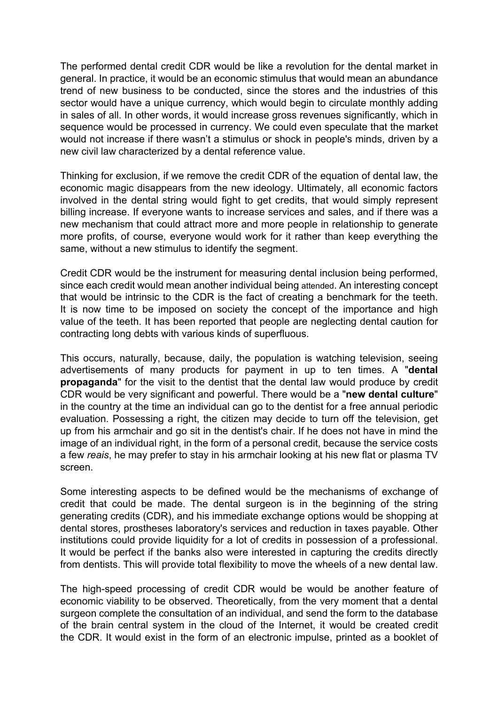The performed dental credit CDR would be like a revolution for the dental market in general. In practice, it would be an economic stimulus that would mean an abundance trend of new business to be conducted, since the stores and the industries of this sector would have a unique currency, which would begin to circulate monthly adding in sales of all. In other words, it would increase gross revenues significantly, which in sequence would be processed in currency. We could even speculate that the market would not increase if there wasn't a stimulus or shock in people's minds, driven by a new civil law characterized by a dental reference value.

Thinking for exclusion, if we remove the credit CDR of the equation of dental law, the economic magic disappears from the new ideology. Ultimately, all economic factors involved in the dental string would fight to get credits, that would simply represent billing increase. If everyone wants to increase services and sales, and if there was a new mechanism that could attract more and more people in relationship to generate more profits, of course, everyone would work for it rather than keep everything the same, without a new stimulus to identify the segment.

Credit CDR would be the instrument for measuring dental inclusion being performed, since each credit would mean another individual being attended. An interesting concept that would be intrinsic to the CDR is the fact of creating a benchmark for the teeth. It is now time to be imposed on society the concept of the importance and high value of the teeth. It has been reported that people are neglecting dental caution for contracting long debts with various kinds of superfluous.

This occurs, naturally, because, daily, the population is watching television, seeing advertisements of many products for payment in up to ten times. A "**dental propaganda**" for the visit to the dentist that the dental law would produce by credit CDR would be very significant and powerful. There would be a "**new dental culture**" in the country at the time an individual can go to the dentist for a free annual periodic evaluation. Possessing a right, the citizen may decide to turn off the television, get up from his armchair and go sit in the dentist's chair. If he does not have in mind the image of an individual right, in the form of a personal credit, because the service costs a few *reais*, he may prefer to stay in his armchair looking at his new flat or plasma TV screen.

Some interesting aspects to be defined would be the mechanisms of exchange of credit that could be made. The dental surgeon is in the beginning of the string generating credits (CDR), and his immediate exchange options would be shopping at dental stores, prostheses laboratory's services and reduction in taxes payable. Other institutions could provide liquidity for a lot of credits in possession of a professional. It would be perfect if the banks also were interested in capturing the credits directly from dentists. This will provide total flexibility to move the wheels of a new dental law.

The high-speed processing of credit CDR would be would be another feature of economic viability to be observed. Theoretically, from the very moment that a dental surgeon complete the consultation of an individual, and send the form to the database of the brain central system in the cloud of the Internet, it would be created credit the CDR. It would exist in the form of an electronic impulse, printed as a booklet of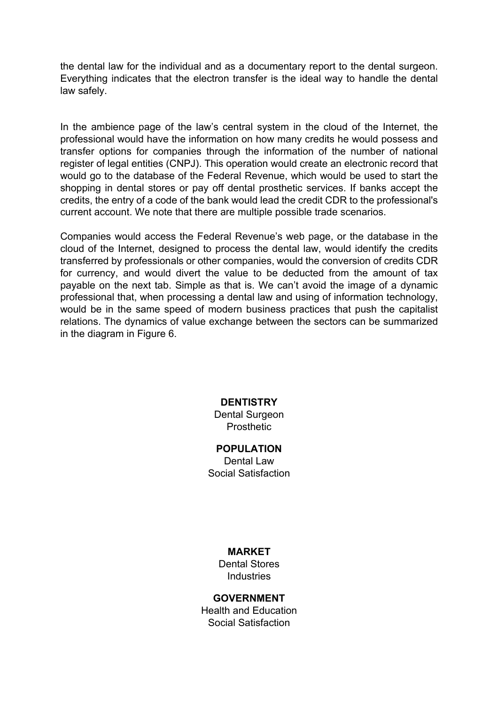the dental law for the individual and as a documentary report to the dental surgeon. Everything indicates that the electron transfer is the ideal way to handle the dental law safely.

In the ambience page of the law's central system in the cloud of the Internet, the professional would have the information on how many credits he would possess and transfer options for companies through the information of the number of national register of legal entities (CNPJ). This operation would create an electronic record that would go to the database of the Federal Revenue, which would be used to start the shopping in dental stores or pay off dental prosthetic services. If banks accept the credits, the entry of a code of the bank would lead the credit CDR to the professional's current account. We note that there are multiple possible trade scenarios.

Companies would access the Federal Revenue's web page, or the database in the cloud of the Internet, designed to process the dental law, would identify the credits transferred by professionals or other companies, would the conversion of credits CDR for currency, and would divert the value to be deducted from the amount of tax payable on the next tab. Simple as that is. We can't avoid the image of a dynamic professional that, when processing a dental law and using of information technology, would be in the same speed of modern business practices that push the capitalist relations. The dynamics of value exchange between the sectors can be summarized in the diagram in Figure 6.

#### **DENTISTRY**

Dental Surgeon **Prosthetic** 

#### **POPULATION**

Dental Law Social Satisfaction

#### **MARKET**

Dental Stores Industries

#### **GOVERNMENT**

Health and Education Social Satisfaction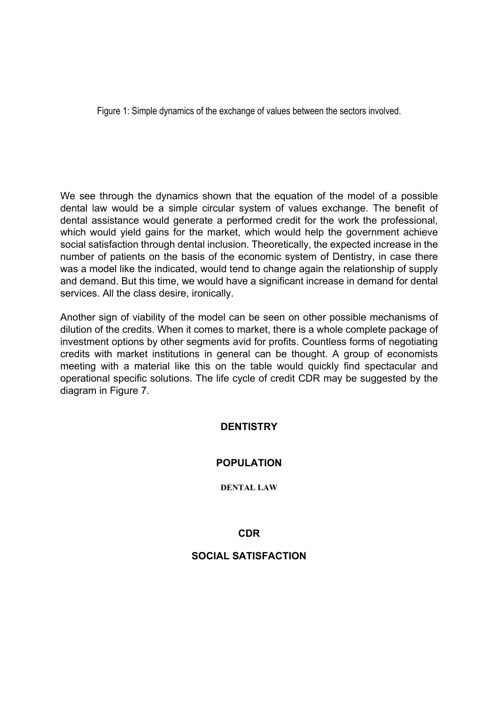Figure 1: Simple dynamics of the exchange of values between the sectors involved.

We see through the dynamics shown that the equation of the model of a possible dental law would be a simple circular system of values exchange. The benefit of dental assistance would generate a performed credit for the work the professional, which would yield gains for the market, which would help the government achieve social satisfaction through dental inclusion. Theoretically, the expected increase in the number of patients on the basis of the economic system of Dentistry, in case there was a model like the indicated, would tend to change again the relationship of supply and demand. But this time, we would have a significant increase in demand for dental services. All the class desire, ironically.

Another sign of viability of the model can be seen on other possible mechanisms of dilution of the credits. When it comes to market, there is a whole complete package of investment options by other segments avid for profits. Countless forms of negotiating credits with market institutions in general can be thought. A group of economists meeting with a material like this on the table would quickly find spectacular and operational specific solutions. The life cycle of credit CDR may be suggested by the diagram in Figure 7.

## **DENTISTRY**

## **POPULATION**

**DENTAL LAW**

#### **CDR**

### **SOCIAL SATISFACTION**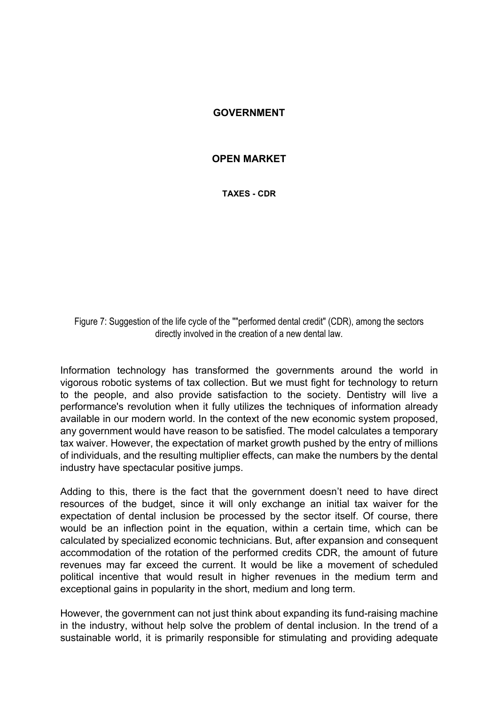#### **GOVERNMENT**

#### **OPEN MARKET**

**TAXES - CDR**

Figure 7: Suggestion of the life cycle of the ""performed dental credit" (CDR), among the sectors directly involved in the creation of a new dental law.

Information technology has transformed the governments around the world in vigorous robotic systems of tax collection. But we must fight for technology to return to the people, and also provide satisfaction to the society. Dentistry will live a performance's revolution when it fully utilizes the techniques of information already available in our modern world. In the context of the new economic system proposed, any government would have reason to be satisfied. The model calculates a temporary tax waiver. However, the expectation of market growth pushed by the entry of millions of individuals, and the resulting multiplier effects, can make the numbers by the dental industry have spectacular positive jumps.

Adding to this, there is the fact that the government doesn't need to have direct resources of the budget, since it will only exchange an initial tax waiver for the expectation of dental inclusion be processed by the sector itself. Of course, there would be an inflection point in the equation, within a certain time, which can be calculated by specialized economic technicians. But, after expansion and consequent accommodation of the rotation of the performed credits CDR, the amount of future revenues may far exceed the current. It would be like a movement of scheduled political incentive that would result in higher revenues in the medium term and exceptional gains in popularity in the short, medium and long term.

However, the government can not just think about expanding its fund-raising machine in the industry, without help solve the problem of dental inclusion. In the trend of a sustainable world, it is primarily responsible for stimulating and providing adequate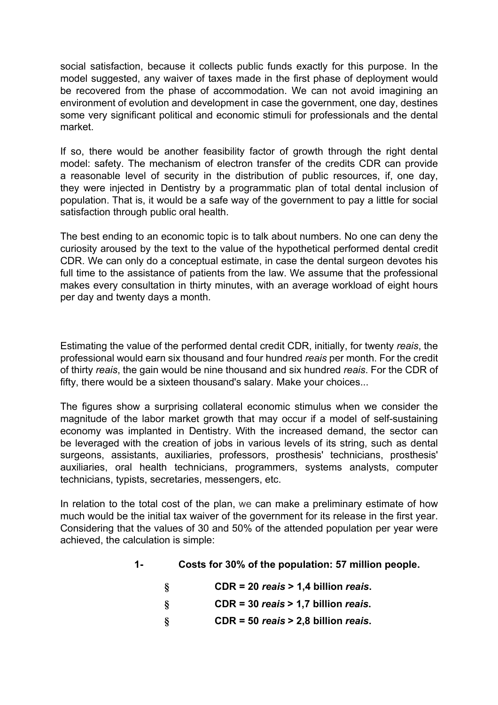social satisfaction, because it collects public funds exactly for this purpose. In the model suggested, any waiver of taxes made in the first phase of deployment would be recovered from the phase of accommodation. We can not avoid imagining an environment of evolution and development in case the government, one day, destines some very significant political and economic stimuli for professionals and the dental market.

If so, there would be another feasibility factor of growth through the right dental model: safety. The mechanism of electron transfer of the credits CDR can provide a reasonable level of security in the distribution of public resources, if, one day, they were injected in Dentistry by a programmatic plan of total dental inclusion of population. That is, it would be a safe way of the government to pay a little for social satisfaction through public oral health.

The best ending to an economic topic is to talk about numbers. No one can deny the curiosity aroused by the text to the value of the hypothetical performed dental credit CDR. We can only do a conceptual estimate, in case the dental surgeon devotes his full time to the assistance of patients from the law. We assume that the professional makes every consultation in thirty minutes, with an average workload of eight hours per day and twenty days a month.

Estimating the value of the performed dental credit CDR, initially, for twenty *reais*, the professional would earn six thousand and four hundred *reais* per month. For the credit of thirty *reais*, the gain would be nine thousand and six hundred *reais*. For the CDR of fifty, there would be a sixteen thousand's salary. Make your choices...

The figures show a surprising collateral economic stimulus when we consider the magnitude of the labor market growth that may occur if a model of self-sustaining economy was implanted in Dentistry. With the increased demand, the sector can be leveraged with the creation of jobs in various levels of its string, such as dental surgeons, assistants, auxiliaries, professors, prosthesis' technicians, prosthesis' auxiliaries, oral health technicians, programmers, systems analysts, computer technicians, typists, secretaries, messengers, etc.

In relation to the total cost of the plan, we can make a preliminary estimate of how much would be the initial tax waiver of the government for its release in the first year. Considering that the values of 30 and 50% of the attended population per year were achieved, the calculation is simple:

| $1 -$ | Costs for 30% of the population: 57 million people. |
|-------|-----------------------------------------------------|
|-------|-----------------------------------------------------|

| $CDR = 20$ reais > 1,4 billion reais. |
|---------------------------------------|
| $CDR = 30$ reais > 1,7 billion reais. |

**§ CDR = 50** *reais* **> 2,8 billion** *reais***.**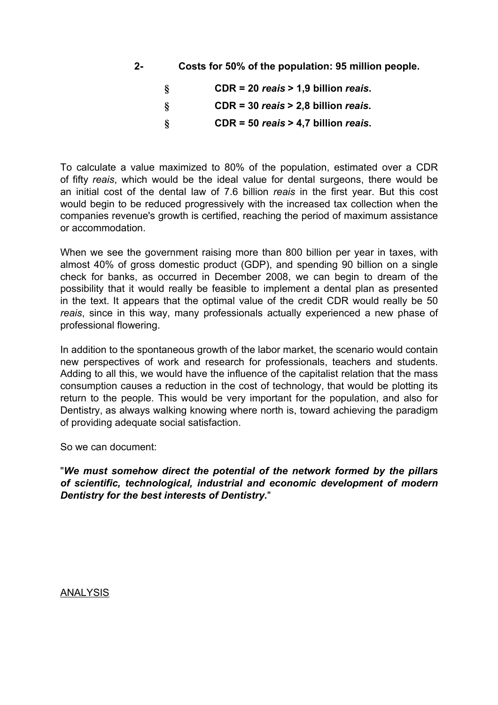**2- Costs for 50% of the population: 95 million people.**

| 8  | $CDR = 20$ reais > 1,9 billion reais. |
|----|---------------------------------------|
| 8  | $CDR = 30$ reais > 2,8 billion reais. |
| -8 | $CDR = 50$ reais > 4,7 billion reais. |

To calculate a value maximized to 80% of the population, estimated over a CDR of fifty *reais*, which would be the ideal value for dental surgeons, there would be an initial cost of the dental law of 7.6 billion *reais* in the first year. But this cost would begin to be reduced progressively with the increased tax collection when the companies revenue's growth is certified, reaching the period of maximum assistance or accommodation.

When we see the government raising more than 800 billion per year in taxes, with almost 40% of gross domestic product (GDP), and spending 90 billion on a single check for banks, as occurred in December 2008, we can begin to dream of the possibility that it would really be feasible to implement a dental plan as presented in the text. It appears that the optimal value of the credit CDR would really be 50 *reais*, since in this way, many professionals actually experienced a new phase of professional flowering.

In addition to the spontaneous growth of the labor market, the scenario would contain new perspectives of work and research for professionals, teachers and students. Adding to all this, we would have the influence of the capitalist relation that the mass consumption causes a reduction in the cost of technology, that would be plotting its return to the people. This would be very important for the population, and also for Dentistry, as always walking knowing where north is, toward achieving the paradigm of providing adequate social satisfaction.

So we can document:

"*We must somehow direct the potential of the network formed by the pillars of scientific, technological, industrial and economic development of modern Dentistry for the best interests of Dentistry.*"

**ANALYSIS**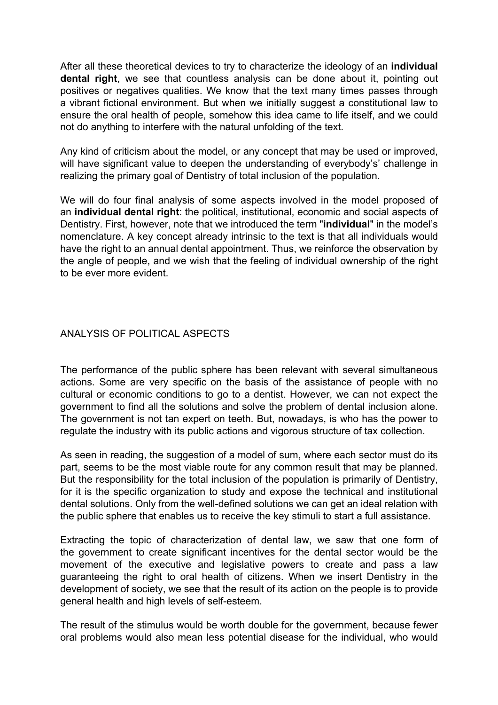After all these theoretical devices to try to characterize the ideology of an **individual dental right**, we see that countless analysis can be done about it, pointing out positives or negatives qualities. We know that the text many times passes through a vibrant fictional environment. But when we initially suggest a constitutional law to ensure the oral health of people, somehow this idea came to life itself, and we could not do anything to interfere with the natural unfolding of the text.

Any kind of criticism about the model, or any concept that may be used or improved, will have significant value to deepen the understanding of everybody's' challenge in realizing the primary goal of Dentistry of total inclusion of the population.

We will do four final analysis of some aspects involved in the model proposed of an **individual dental right**: the political, institutional, economic and social aspects of Dentistry. First, however, note that we introduced the term "**individual**" in the model's nomenclature. A key concept already intrinsic to the text is that all individuals would have the right to an annual dental appointment. Thus, we reinforce the observation by the angle of people, and we wish that the feeling of individual ownership of the right to be ever more evident.

### ANALYSIS OF POLITICAL ASPECTS

The performance of the public sphere has been relevant with several simultaneous actions. Some are very specific on the basis of the assistance of people with no cultural or economic conditions to go to a dentist. However, we can not expect the government to find all the solutions and solve the problem of dental inclusion alone. The government is not tan expert on teeth. But, nowadays, is who has the power to regulate the industry with its public actions and vigorous structure of tax collection.

As seen in reading, the suggestion of a model of sum, where each sector must do its part, seems to be the most viable route for any common result that may be planned. But the responsibility for the total inclusion of the population is primarily of Dentistry, for it is the specific organization to study and expose the technical and institutional dental solutions. Only from the well-defined solutions we can get an ideal relation with the public sphere that enables us to receive the key stimuli to start a full assistance.

Extracting the topic of characterization of dental law, we saw that one form of the government to create significant incentives for the dental sector would be the movement of the executive and legislative powers to create and pass a law guaranteeing the right to oral health of citizens. When we insert Dentistry in the development of society, we see that the result of its action on the people is to provide general health and high levels of self-esteem.

The result of the stimulus would be worth double for the government, because fewer oral problems would also mean less potential disease for the individual, who would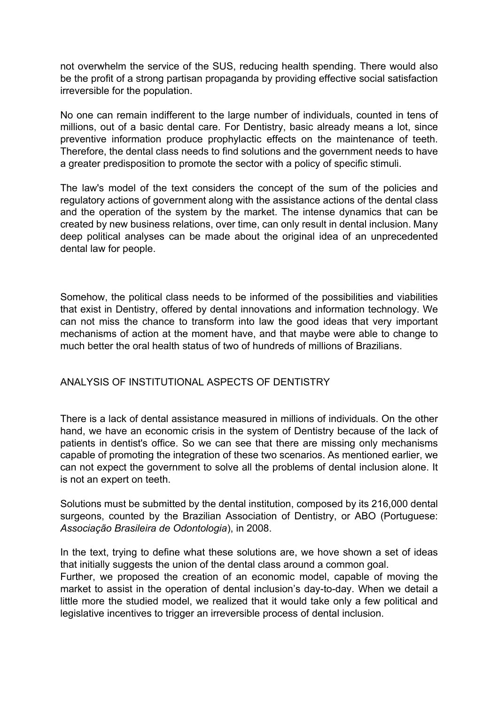not overwhelm the service of the SUS, reducing health spending. There would also be the profit of a strong partisan propaganda by providing effective social satisfaction irreversible for the population.

No one can remain indifferent to the large number of individuals, counted in tens of millions, out of a basic dental care. For Dentistry, basic already means a lot, since preventive information produce prophylactic effects on the maintenance of teeth. Therefore, the dental class needs to find solutions and the government needs to have a greater predisposition to promote the sector with a policy of specific stimuli.

The law's model of the text considers the concept of the sum of the policies and regulatory actions of government along with the assistance actions of the dental class and the operation of the system by the market. The intense dynamics that can be created by new business relations, over time, can only result in dental inclusion. Many deep political analyses can be made about the original idea of an unprecedented dental law for people.

Somehow, the political class needs to be informed of the possibilities and viabilities that exist in Dentistry, offered by dental innovations and information technology. We can not miss the chance to transform into law the good ideas that very important mechanisms of action at the moment have, and that maybe were able to change to much better the oral health status of two of hundreds of millions of Brazilians.

#### ANALYSIS OF INSTITUTIONAL ASPECTS OF DENTISTRY

There is a lack of dental assistance measured in millions of individuals. On the other hand, we have an economic crisis in the system of Dentistry because of the lack of patients in dentist's office. So we can see that there are missing only mechanisms capable of promoting the integration of these two scenarios. As mentioned earlier, we can not expect the government to solve all the problems of dental inclusion alone. It is not an expert on teeth.

Solutions must be submitted by the dental institution, composed by its 216,000 dental surgeons, counted by the Brazilian Association of Dentistry, or ABO (Portuguese: *Associação Brasileira de Odontologia*), in 2008.

In the text, trying to define what these solutions are, we hove shown a set of ideas that initially suggests the union of the dental class around a common goal.

Further, we proposed the creation of an economic model, capable of moving the market to assist in the operation of dental inclusion's day-to-day. When we detail a little more the studied model, we realized that it would take only a few political and legislative incentives to trigger an irreversible process of dental inclusion.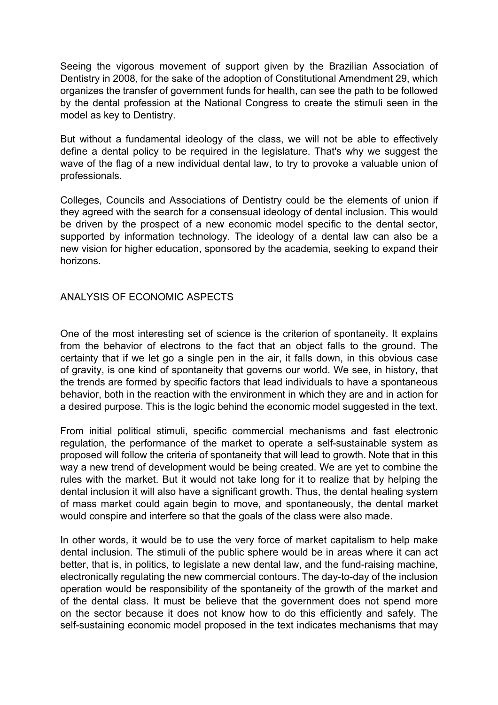Seeing the vigorous movement of support given by the Brazilian Association of Dentistry in 2008, for the sake of the adoption of Constitutional Amendment 29, which organizes the transfer of government funds for health, can see the path to be followed by the dental profession at the National Congress to create the stimuli seen in the model as key to Dentistry.

But without a fundamental ideology of the class, we will not be able to effectively define a dental policy to be required in the legislature. That's why we suggest the wave of the flag of a new individual dental law, to try to provoke a valuable union of professionals.

Colleges, Councils and Associations of Dentistry could be the elements of union if they agreed with the search for a consensual ideology of dental inclusion. This would be driven by the prospect of a new economic model specific to the dental sector, supported by information technology. The ideology of a dental law can also be a new vision for higher education, sponsored by the academia, seeking to expand their horizons.

#### ANALYSIS OF ECONOMIC ASPECTS

One of the most interesting set of science is the criterion of spontaneity. It explains from the behavior of electrons to the fact that an object falls to the ground. The certainty that if we let go a single pen in the air, it falls down, in this obvious case of gravity, is one kind of spontaneity that governs our world. We see, in history, that the trends are formed by specific factors that lead individuals to have a spontaneous behavior, both in the reaction with the environment in which they are and in action for a desired purpose. This is the logic behind the economic model suggested in the text.

From initial political stimuli, specific commercial mechanisms and fast electronic regulation, the performance of the market to operate a self-sustainable system as proposed will follow the criteria of spontaneity that will lead to growth. Note that in this way a new trend of development would be being created. We are yet to combine the rules with the market. But it would not take long for it to realize that by helping the dental inclusion it will also have a significant growth. Thus, the dental healing system of mass market could again begin to move, and spontaneously, the dental market would conspire and interfere so that the goals of the class were also made.

In other words, it would be to use the very force of market capitalism to help make dental inclusion. The stimuli of the public sphere would be in areas where it can act better, that is, in politics, to legislate a new dental law, and the fund-raising machine, electronically regulating the new commercial contours. The day-to-day of the inclusion operation would be responsibility of the spontaneity of the growth of the market and of the dental class. It must be believe that the government does not spend more on the sector because it does not know how to do this efficiently and safely. The self-sustaining economic model proposed in the text indicates mechanisms that may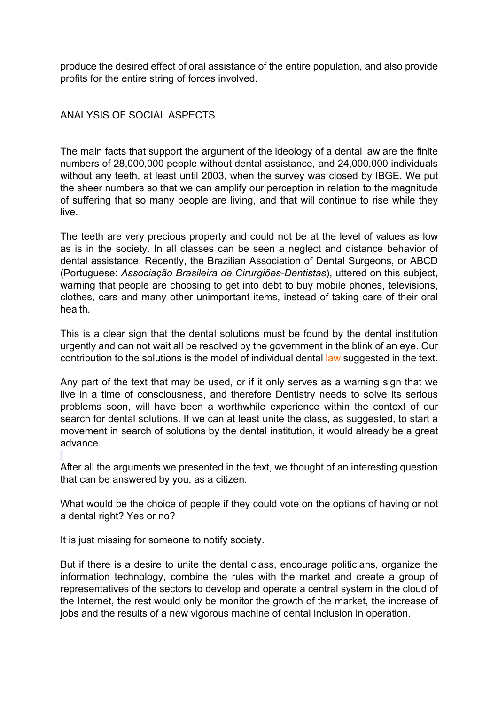produce the desired effect of oral assistance of the entire population, and also provide profits for the entire string of forces involved.

### ANALYSIS OF SOCIAL ASPECTS

The main facts that support the argument of the ideology of a dental law are the finite numbers of 28,000,000 people without dental assistance, and 24,000,000 individuals without any teeth, at least until 2003, when the survey was closed by IBGE. We put the sheer numbers so that we can amplify our perception in relation to the magnitude of suffering that so many people are living, and that will continue to rise while they live.

The teeth are very precious property and could not be at the level of values as low as is in the society. In all classes can be seen a neglect and distance behavior of dental assistance. Recently, the Brazilian Association of Dental Surgeons, or ABCD (Portuguese: *Associação Brasileira de Cirurgiões-Dentistas*), uttered on this subject, warning that people are choosing to get into debt to buy mobile phones, televisions, clothes, cars and many other unimportant items, instead of taking care of their oral health.

This is a clear sign that the dental solutions must be found by the dental institution urgently and can not wait all be resolved by the government in the blink of an eye. Our contribution to the solutions is the model of individual dental law suggested in the text.

Any part of the text that may be used, or if it only serves as a warning sign that we live in a time of consciousness, and therefore Dentistry needs to solve its serious problems soon, will have been a worthwhile experience within the context of our search for dental solutions. If we can at least unite the class, as suggested, to start a movement in search of solutions by the dental institution, it would already be a great advance.

After all the arguments we presented in the text, we thought of an interesting question that can be answered by you, as a citizen:

What would be the choice of people if they could vote on the options of having or not a dental right? Yes or no?

It is just missing for someone to notify society.

But if there is a desire to unite the dental class, encourage politicians, organize the information technology, combine the rules with the market and create a group of representatives of the sectors to develop and operate a central system in the cloud of the Internet, the rest would only be monitor the growth of the market, the increase of jobs and the results of a new vigorous machine of dental inclusion in operation.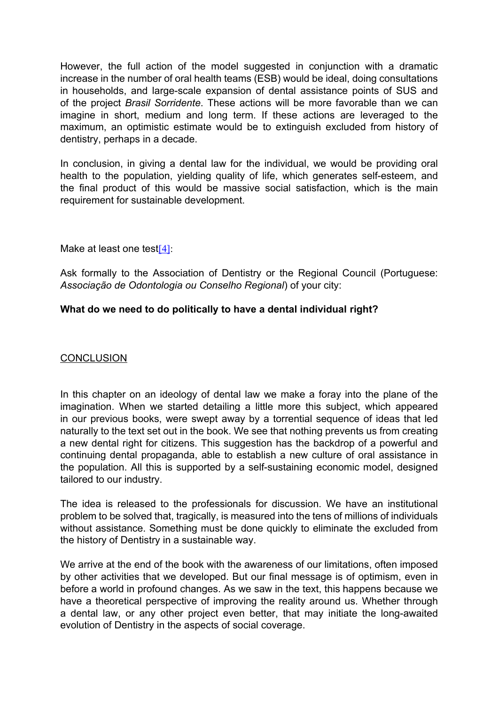However, the full action of the model suggested in conjunction with a dramatic increase in the number of oral health teams (ESB) would be ideal, doing consultations in households, and large-scale expansion of dental assistance points of SUS and of the project *Brasil Sorridente*. These actions will be more favorable than we can imagine in short, medium and long term. If these actions are leveraged to the maximum, an optimistic estimate would be to extinguish excluded from history of dentistry, perhaps in a decade.

In conclusion, in giving a dental law for the individual, we would be providing oral health to the population, yielding quality of life, which generates self-esteem, and the final product of this would be massive social satisfaction, which is the main requirement for sustainable development.

<span id="page-24-0"></span>Make at least one test $[4]$ :

Ask formally to the Association of Dentistry or the Regional Council (Portuguese: *Associação de Odontologia ou Conselho Regional*) of your city:

### **What do we need to do politically to have a dental individual right?**

### **CONCLUSION**

In this chapter on an ideology of dental law we make a foray into the plane of the imagination. When we started detailing a little more this subject, which appeared in our previous books, were swept away by a torrential sequence of ideas that led naturally to the text set out in the book. We see that nothing prevents us from creating a new dental right for citizens. This suggestion has the backdrop of a powerful and continuing dental propaganda, able to establish a new culture of oral assistance in the population. All this is supported by a self-sustaining economic model, designed tailored to our industry.

The idea is released to the professionals for discussion. We have an institutional problem to be solved that, tragically, is measured into the tens of millions of individuals without assistance. Something must be done quickly to eliminate the excluded from the history of Dentistry in a sustainable way.

We arrive at the end of the book with the awareness of our limitations, often imposed by other activities that we developed. But our final message is of optimism, even in before a world in profound changes. As we saw in the text, this happens because we have a theoretical perspective of improving the reality around us. Whether through a dental law, or any other project even better, that may initiate the long-awaited evolution of Dentistry in the aspects of social coverage.